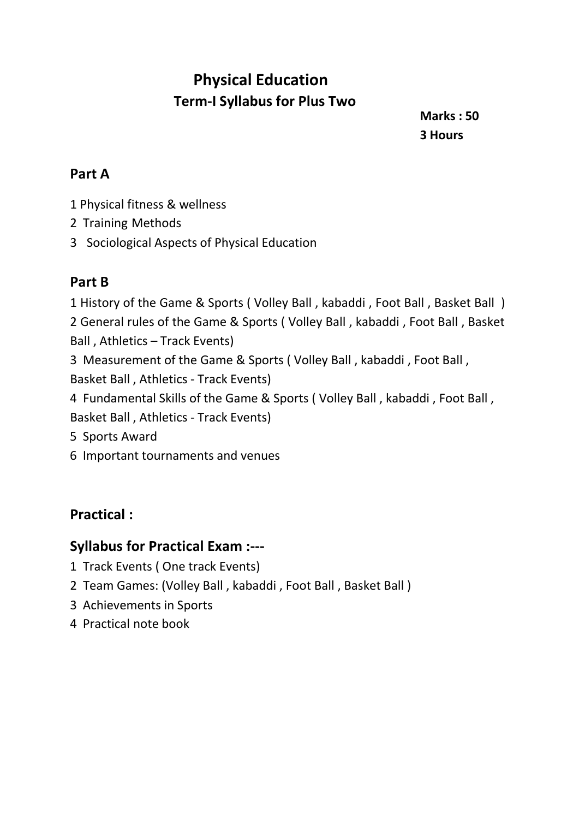## **Physical Education Term-I Syllabus for Plus Two**

**Marks : 50 3 Hours**

#### **Part A**

- 1 Physical fitness & wellness
- 2 Training Methods
- 3 Sociological Aspects of Physical Education

#### **Part B**

 History of the Game & Sports ( Volley Ball , kabaddi , Foot Ball , Basket Ball ) General rules of the Game & Sports ( Volley Ball , kabaddi , Foot Ball , Basket Ball , Athletics – Track Events) Measurement of the Game & Sports ( Volley Ball , kabaddi , Foot Ball ,

Basket Ball , Athletics - Track Events)

4 Fundamental Skills of the Game & Sports ( Volley Ball , kabaddi , Foot Ball , Basket Ball , Athletics - Track Events)

- 5 Sports Award
- 6 Important tournaments and venues

#### **Practical :**

#### **Syllabus for Practical Exam :---**

- 1 Track Events ( One track Events)
- 2 Team Games: (Volley Ball , kabaddi , Foot Ball , Basket Ball )
- 3 Achievements in Sports
- 4 Practical note book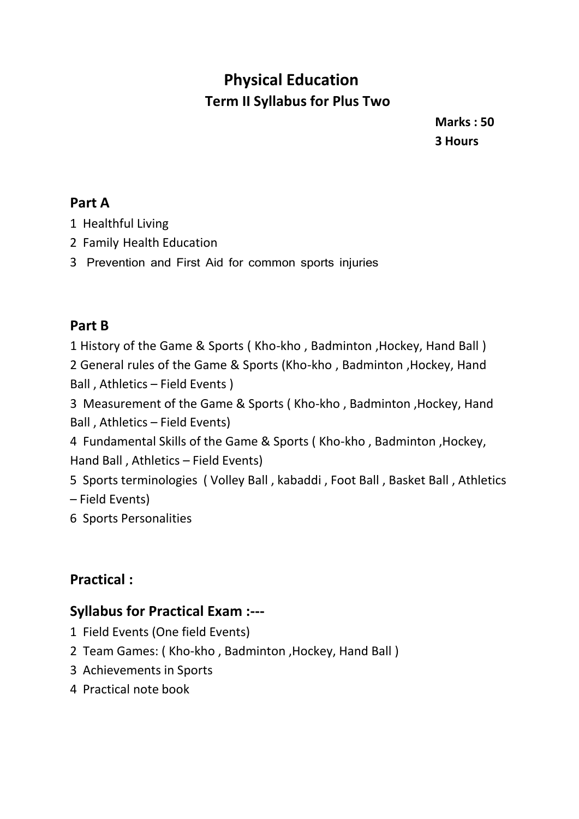## **Physical Education Term II Syllabus for Plus Two**

**Marks : 50 3 Hours**

#### **Part A**

- 1 Healthful Living
- 2 Family Health Education
- 3 Prevention and First Aid for common sports injuries

#### **Part B**

1 History of the Game & Sports ( Kho-kho , Badminton ,Hockey, Hand Ball )

2 General rules of the Game & Sports (Kho-kho , Badminton ,Hockey, Hand Ball , Athletics – Field Events )

3 Measurement of the Game & Sports ( Kho-kho , Badminton ,Hockey, Hand Ball , Athletics – Field Events)

4 Fundamental Skills of the Game & Sports ( Kho-kho , Badminton ,Hockey, Hand Ball , Athletics – Field Events)

5 Sports terminologies ( Volley Ball , kabaddi , Foot Ball , Basket Ball , Athletics – Field Events)

6 Sports Personalities

## **Practical :**

### **Syllabus for Practical Exam :---**

- 1 Field Events (One field Events)
- 2 Team Games: ( Kho-kho , Badminton ,Hockey, Hand Ball )
- 3 Achievements in Sports
- 4 Practical note book